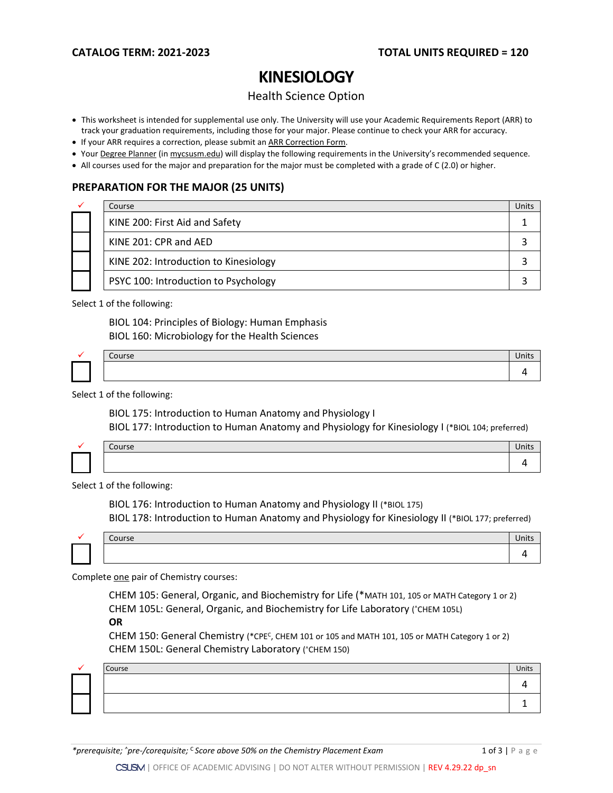# **KINESIOLOGY**

## Health Science Option

- This worksheet is intended for supplemental use only. The University will use your Academic Requirements Report (ARR) to track your graduation requirements, including those for your major. Please continue to check your ARR for accuracy.
- If your ARR requires a correction, please submit an [ARR Correction Form.](http://www.csusm.edu/academicadvising/arrcorrection/index.html)
- You[r Degree Planner](https://www.csusm.edu/academicadvising/degreeplanner/index.html) (i[n mycsusm.edu\)](https://my.csusm.edu/) will display the following requirements in the University's recommended sequence.
- All courses used for the major and preparation for the major must be completed with a grade of C (2.0) or higher.

## **PREPARATION FOR THE MAJOR (25 UNITS)**

|  | Course                                | Units |
|--|---------------------------------------|-------|
|  | KINE 200: First Aid and Safety        |       |
|  | KINE 201: CPR and AED                 |       |
|  | KINE 202: Introduction to Kinesiology |       |
|  | PSYC 100: Introduction to Psychology  |       |

Select 1 of the following:

BIOL 104: Principles of Biology: Human Emphasis BIOL 160: Microbiology for the Health Sciences

|  | ourse |  |
|--|-------|--|
|  |       |  |

Select 1 of the following:

BIOL 175: Introduction to Human Anatomy and Physiology I BIOL 177: Introduction to Human Anatomy and Physiology for Kinesiology I (\*BIOL 104; preferred)

| ъc. |  |
|-----|--|
|     |  |

Select 1 of the following:

BIOL 176: Introduction to Human Anatomy and Physiology II (\*BIOL 175) BIOL 178: Introduction to Human Anatomy and Physiology for Kinesiology II (\*BIOL 177; preferred)

| $\sim$<br>Course | UIILS |
|------------------|-------|
|                  |       |

Complete one pair of Chemistry courses:

CHEM 105: General, Organic, and Biochemistry for Life (\*MATH 101, 105 or MATH Category 1 or 2) CHEM 105L: General, Organic, and Biochemistry for Life Laboratory (^CHEM 105L)

**OR**

CHEM 150: General Chemistry (\*CPEC, CHEM 101 or 105 and MATH 101, 105 or MATH Category 1 or 2) CHEM 150L: General Chemistry Laboratory ( $C$ HEM 150)

|  | Course | Units |
|--|--------|-------|
|  |        |       |
|  |        |       |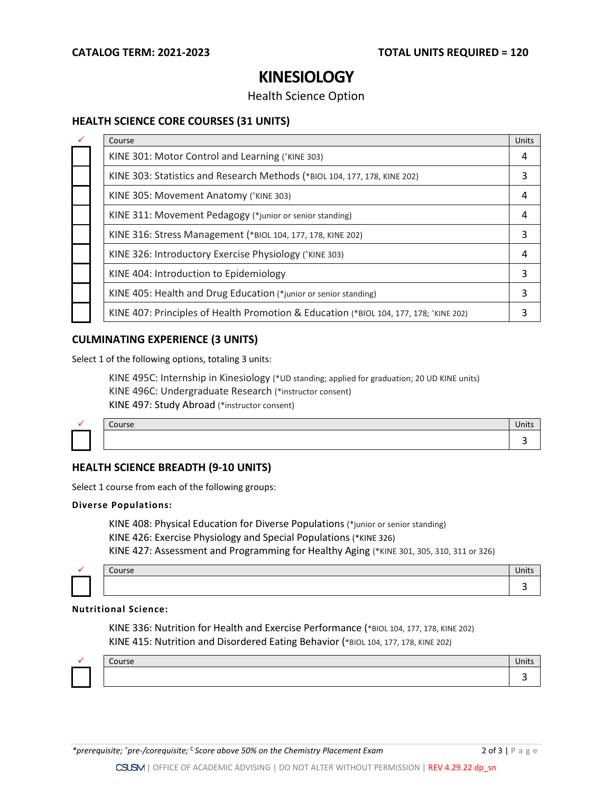## **KINESIOLOGY**

### Health Science Option

### **HEALTH SCIENCE CORE COURSES (31 UNITS)**

| Course                                                                                | Units |
|---------------------------------------------------------------------------------------|-------|
| KINE 301: Motor Control and Learning (*KINE 303)                                      | 4     |
| KINE 303: Statistics and Research Methods (*BIOL 104, 177, 178, KINE 202)             | 3     |
| KINE 305: Movement Anatomy (*KINE 303)                                                | 4     |
| KINE 311: Movement Pedagogy (*junior or senior standing)                              | 4     |
| KINE 316: Stress Management (*BIOL 104, 177, 178, KINE 202)                           | 3     |
| KINE 326: Introductory Exercise Physiology (*KINE 303)                                | 4     |
| KINE 404: Introduction to Epidemiology                                                | 3     |
| KINE 405: Health and Drug Education (*junior or senior standing)                      | 3     |
| KINE 407: Principles of Health Promotion & Education (*BIOL 104, 177, 178; ^KINE 202) | 3     |

### **CULMINATING EXPERIENCE (3 UNITS)**

Select 1 of the following options, totaling 3 units:

KINE 495C: Internship in Kinesiology (\*UD standing; applied for graduation; 20 UD KINE units) KINE 496C: Undergraduate Research (\*instructor consent) KINE 497: Study Abroad (\*instructor consent)

|  | $\sim$ $\sim$<br>course | $\cdot$ $\cdot$<br>чшь |
|--|-------------------------|------------------------|
|  |                         |                        |

# **HEALTH SCIENCE BREADTH (9-10 UNITS)**

Select 1 course from each of the following groups:

#### **Diverse Populations:**

KINE 408: Physical Education for Diverse Populations (\*junior or senior standing) KINE 426: Exercise Physiology and Special Populations (\*KINE 326) KINE 427: Assessment and Programming for Healthy Aging (\*KINE 301, 305, 310, 311 or 326)



#### **Nutritional Science:**

KINE 336: Nutrition for Health and Exercise Performance (\*BIOL 104, 177, 178, KINE 202) KINE 415: Nutrition and Disordered Eating Behavior (\*BIOL 104, 177, 178, KINE 202)



| Course | UIILS |
|--------|-------|
|        |       |

3